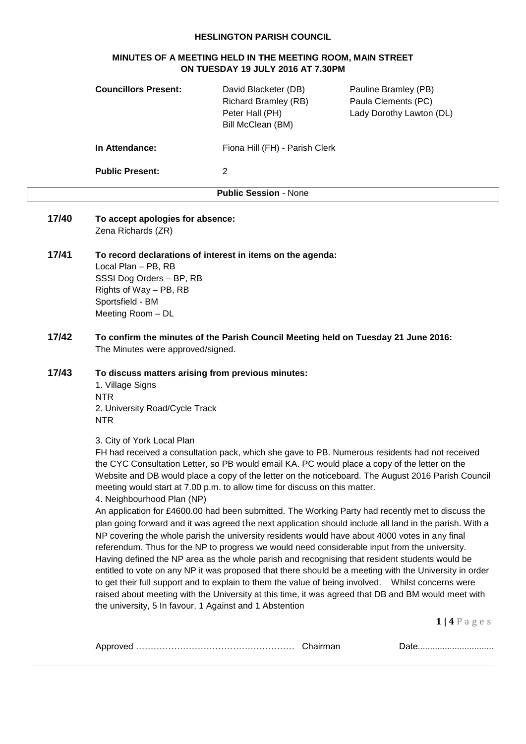## **HESLINGTON PARISH COUNCIL**

# **MINUTES OF A MEETING HELD IN THE MEETING ROOM, MAIN STREET ON TUESDAY 19 JULY 2016 AT 7.30PM**

|       | <b>Councillors Present:</b>                                                                                                                                                                                                                                                                                                                                                                                                                                                                                                                                                                                                                                                                                                                                                                                                                                                                                                                                                                                                                                                                                                                                                                                                                                                                                                                             | David Blacketer (DB)<br><b>Richard Bramley (RB)</b><br>Peter Hall (PH)<br>Bill McClean (BM) | Pauline Bramley (PB)<br>Paula Clements (PC)<br>Lady Dorothy Lawton (DL) |  |  |  |
|-------|---------------------------------------------------------------------------------------------------------------------------------------------------------------------------------------------------------------------------------------------------------------------------------------------------------------------------------------------------------------------------------------------------------------------------------------------------------------------------------------------------------------------------------------------------------------------------------------------------------------------------------------------------------------------------------------------------------------------------------------------------------------------------------------------------------------------------------------------------------------------------------------------------------------------------------------------------------------------------------------------------------------------------------------------------------------------------------------------------------------------------------------------------------------------------------------------------------------------------------------------------------------------------------------------------------------------------------------------------------|---------------------------------------------------------------------------------------------|-------------------------------------------------------------------------|--|--|--|
|       | In Attendance:                                                                                                                                                                                                                                                                                                                                                                                                                                                                                                                                                                                                                                                                                                                                                                                                                                                                                                                                                                                                                                                                                                                                                                                                                                                                                                                                          | Fiona Hill (FH) - Parish Clerk                                                              |                                                                         |  |  |  |
|       | <b>Public Present:</b>                                                                                                                                                                                                                                                                                                                                                                                                                                                                                                                                                                                                                                                                                                                                                                                                                                                                                                                                                                                                                                                                                                                                                                                                                                                                                                                                  | 2                                                                                           |                                                                         |  |  |  |
|       |                                                                                                                                                                                                                                                                                                                                                                                                                                                                                                                                                                                                                                                                                                                                                                                                                                                                                                                                                                                                                                                                                                                                                                                                                                                                                                                                                         | <b>Public Session - None</b>                                                                |                                                                         |  |  |  |
| 17/40 | To accept apologies for absence:<br>Zena Richards (ZR)                                                                                                                                                                                                                                                                                                                                                                                                                                                                                                                                                                                                                                                                                                                                                                                                                                                                                                                                                                                                                                                                                                                                                                                                                                                                                                  |                                                                                             |                                                                         |  |  |  |
| 17/41 | Local Plan - PB, RB<br>SSSI Dog Orders - BP, RB<br>Rights of Way - PB, RB<br>Sportsfield - BM<br>Meeting Room - DL                                                                                                                                                                                                                                                                                                                                                                                                                                                                                                                                                                                                                                                                                                                                                                                                                                                                                                                                                                                                                                                                                                                                                                                                                                      | To record declarations of interest in items on the agenda:                                  |                                                                         |  |  |  |
| 17/42 | To confirm the minutes of the Parish Council Meeting held on Tuesday 21 June 2016:<br>The Minutes were approved/signed.                                                                                                                                                                                                                                                                                                                                                                                                                                                                                                                                                                                                                                                                                                                                                                                                                                                                                                                                                                                                                                                                                                                                                                                                                                 |                                                                                             |                                                                         |  |  |  |
| 17/43 | To discuss matters arising from previous minutes:<br>1. Village Signs<br><b>NTR</b><br>2. University Road/Cycle Track<br><b>NTR</b>                                                                                                                                                                                                                                                                                                                                                                                                                                                                                                                                                                                                                                                                                                                                                                                                                                                                                                                                                                                                                                                                                                                                                                                                                     |                                                                                             |                                                                         |  |  |  |
|       | 3. City of York Local Plan<br>FH had received a consultation pack, which she gave to PB. Numerous residents had not received<br>the CYC Consultation Letter, so PB would email KA. PC would place a copy of the letter on the<br>Website and DB would place a copy of the letter on the noticeboard. The August 2016 Parish Council<br>meeting would start at 7.00 p.m. to allow time for discuss on this matter.<br>4. Neighbourhood Plan (NP)<br>An application for £4600.00 had been submitted. The Working Party had recently met to discuss the<br>plan going forward and it was agreed the next application should include all land in the parish. With a<br>NP covering the whole parish the university residents would have about 4000 votes in any final<br>referendum. Thus for the NP to progress we would need considerable input from the university.<br>Having defined the NP area as the whole parish and recognising that resident students would be<br>entitled to vote on any NP it was proposed that there should be a meeting with the University in order<br>to get their full support and to explain to them the value of being involved.  Whilst concerns were<br>raised about meeting with the University at this time, it was agreed that DB and BM would meet with<br>the university, 5 In favour, 1 Against and 1 Abstention |                                                                                             |                                                                         |  |  |  |
|       |                                                                                                                                                                                                                                                                                                                                                                                                                                                                                                                                                                                                                                                                                                                                                                                                                                                                                                                                                                                                                                                                                                                                                                                                                                                                                                                                                         |                                                                                             | $1$   4 P a g e s                                                       |  |  |  |
|       |                                                                                                                                                                                                                                                                                                                                                                                                                                                                                                                                                                                                                                                                                                                                                                                                                                                                                                                                                                                                                                                                                                                                                                                                                                                                                                                                                         | Chairman                                                                                    | Date                                                                    |  |  |  |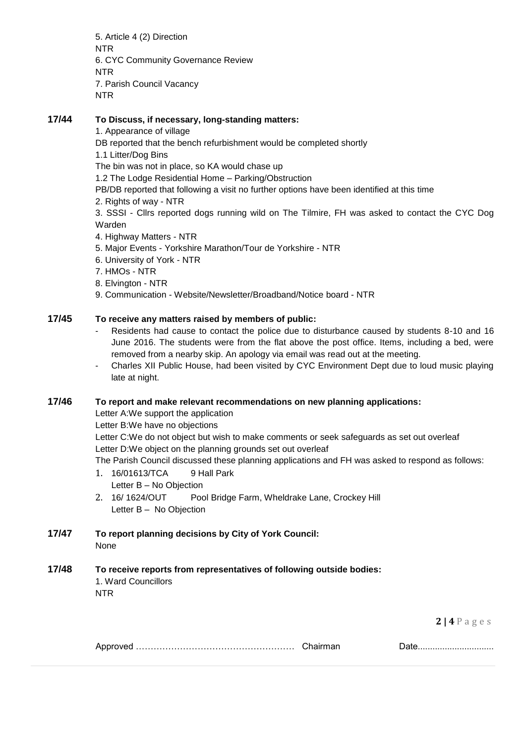5. Article 4 (2) Direction NTR 6. CYC Community Governance Review NTR 7. Parish Council Vacancy NTR

### **17/44 To Discuss, if necessary, long-standing matters:**

1. Appearance of village

DB reported that the bench refurbishment would be completed shortly

1.1 Litter/Dog Bins

The bin was not in place, so KA would chase up

1.2 The Lodge Residential Home – Parking/Obstruction

PB/DB reported that following a visit no further options have been identified at this time

2. Rights of way - NTR

3. SSSI - Cllrs reported dogs running wild on The Tilmire, FH was asked to contact the CYC Dog Warden

- 4. Highway Matters NTR
- 5. Major Events Yorkshire Marathon/Tour de Yorkshire NTR
- 6. University of York NTR
- 7. HMOs NTR
- 8. Elvington NTR
- 9. Communication Website/Newsletter/Broadband/Notice board NTR

### **17/45 To receive any matters raised by members of public:**

- Residents had cause to contact the police due to disturbance caused by students 8-10 and 16 June 2016. The students were from the flat above the post office. Items, including a bed, were removed from a nearby skip. An apology via email was read out at the meeting.
- Charles XII Public House, had been visited by CYC Environment Dept due to loud music playing late at night.

#### **17/46 To report and make relevant recommendations on new planning applications:**

Letter A:We support the application

Letter B:We have no objections

Letter C:We do not object but wish to make comments or seek safeguards as set out overleaf Letter D:We object on the planning grounds set out overleaf

The Parish Council discussed these planning applications and FH was asked to respond as follows:

- 1. 16/01613/TCA 9 Hall Park Letter B – No Objection
- 2. 16/ 1624/OUT Pool Bridge Farm, Wheldrake Lane, Crockey Hill Letter B – No Objection

#### **17/47 To report planning decisions by City of York Council:** None

## **17/48 To receive reports from representatives of following outside bodies:**

1. Ward Councillors NTR

**2 | 4** P a g e s

|  |  | <u> UUW</u> |
|--|--|-------------|
|--|--|-------------|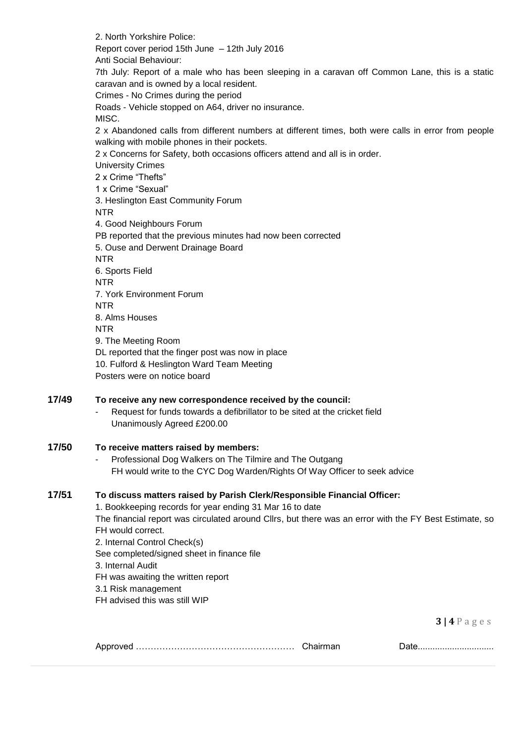2. North Yorkshire Police: Report cover period 15th June – 12th July 2016 Anti Social Behaviour:

7th July: Report of a male who has been sleeping in a caravan off Common Lane, this is a static caravan and is owned by a local resident.

Crimes - No Crimes during the period

Roads - Vehicle stopped on A64, driver no insurance. MISC.

2 x Abandoned calls from different numbers at different times, both were calls in error from people walking with mobile phones in their pockets.

2 x Concerns for Safety, both occasions officers attend and all is in order.

University Crimes

2 x Crime "Thefts"

1 x Crime "Sexual"

3. Heslington East Community Forum

NTR

4. Good Neighbours Forum

PB reported that the previous minutes had now been corrected

5. Ouse and Derwent Drainage Board

NTR

6. Sports Field

NTR

7. York Environment Forum

**NTR** 

8. Alms Houses

NTR

9. The Meeting Room

DL reported that the finger post was now in place

10. Fulford & Heslington Ward Team Meeting

Posters were on notice board

## **17/49 To receive any new correspondence received by the council:**

Request for funds towards a defibrillator to be sited at the cricket field Unanimously Agreed £200.00

## **17/50 To receive matters raised by members:**

- Professional Dog Walkers on The Tilmire and The Outgang FH would write to the CYC Dog Warden/Rights Of Way Officer to seek advice

## **17/51 To discuss matters raised by Parish Clerk/Responsible Financial Officer:**

1. Bookkeeping records for year ending 31 Mar 16 to date

The financial report was circulated around Cllrs, but there was an error with the FY Best Estimate, so FH would correct.

2. Internal Control Check(s)

See completed/signed sheet in finance file

3. Internal Audit

FH was awaiting the written report

3.1 Risk management

FH advised this was still WIP

**3 | 4** P a g e s

Approved ……………………………………………… Chairman Date...............................